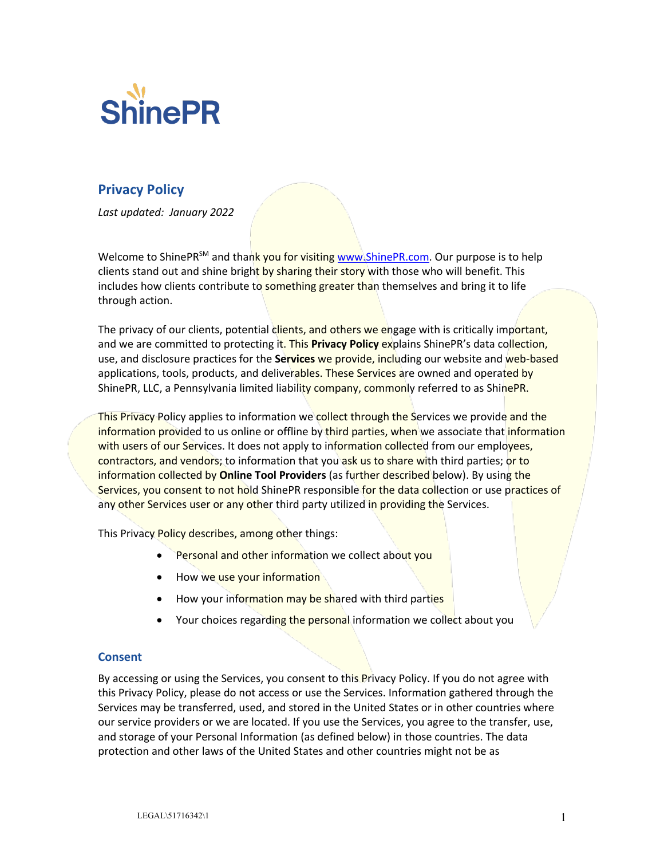

# **Privacy Policy**

*Last updated: January 2022*

Welcome to ShinePR<sup>SM</sup> and thank you for visiting www.ShinePR.com. Our purpose is to help clients stand out and shine bright by sharing their story with those who will benefit. This includes how clients contribute to something greater than themselves and bring it to life through action.

The privacy of our clients, potential clients, and others we engage with is critically important, and we are committed to protecting it. This **Privacy Policy** explains ShinePR's data collection, use, and disclosure practices for the **Services** we provide, including our website and web-based applications, tools, products, and deliverables. These Services are owned and operated by ShinePR, LLC, a Pennsylvania limited liability company, commonly referred to as ShinePR.

This Privacy Policy applies to information we collect through the Services we provide and the information provided to us online or offline by third parties, when we associate that information with users of our Services. It does not apply to information collected from our employees, contractors, and vendors; to information that you ask us to share with third parties; or to information collected by **Online Tool Providers** (as further described below). By using the Services, you consent to not hold ShinePR responsible for the data collection or use practices of any other Services user or any other third party utilized in providing the Services.

## This Privacy Policy describes, among other things:

- Personal and other information we collect about you
- How we use your information
- How your information may be shared with third parties
- Your choices regarding the personal information we collect about you

#### **Consent**

By accessing or using the Services, you consent to this Privacy Policy. If you do not agree with this Privacy Policy, please do not access or use the Services. Information gathered through the Services may be transferred, used, and stored in the United States or in other countries where our service providers or we are located. If you use the Services, you agree to the transfer, use, and storage of your Personal Information (as defined below) in those countries. The data protection and other laws of the United States and other countries might not be as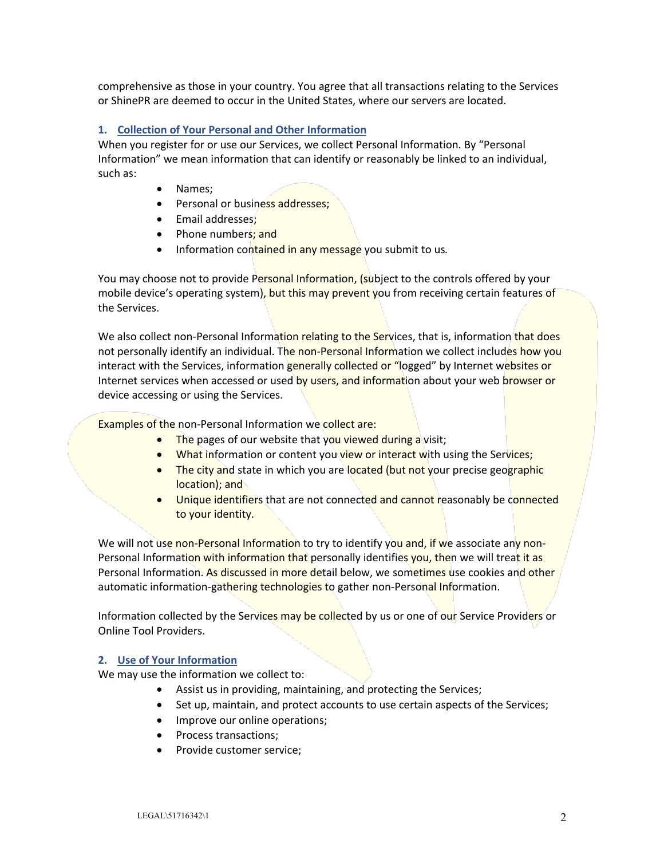comprehensive as those in your country. You agree that all transactions relating to the Services or ShinePR are deemed to occur in the United States, where our servers are located.

#### **1. Collection of Your Personal and Other Information**

When you register for or use our Services, we collect Personal Information. By "Personal Information" we mean information that can identify or reasonably be linked to an individual, such as:

- Names;
- Personal or business addresses;
- Email addresses;
- Phone numbers: and
- Information contained in any message you submit to us*.*

You may choose not to provide Personal Information, (subject to the controls offered by your mobile device's operating system), but this may prevent you from receiving certain features of the Services.

We also collect non-Personal Information relating to the Services, that is, information that does not personally identify an individual. The non-Personal Information we collect includes how you interact with the Services, information generally collected or "logged" by Internet websites or Internet services when accessed or used by users, and information about your web browser or device accessing or using the Services.

Examples of the non-Personal Information we collect are:

- The pages of our website that you viewed during a visit;
- What information or content you view or interact with using the Services;
- The city and state in which you are located (but not your precise geographic location); and
- Unique identifiers that are not connected and cannot reasonably be connected to your identity.

We will not use non-Personal Information to try to identify you and, if we associate any non-Personal Information with information that personally identifies you, then we will treat it as Personal Information. As discussed in more detail below, we sometimes use cookies and other automatic information-gathering technologies to gather non-Personal Information.

Information collected by the Services may be collected by us or one of our Service Providers or Online Tool Providers.

#### **2. Use of Your Information**

We may use the information we collect to:

- Assist us in providing, maintaining, and protecting the Services;
- Set up, maintain, and protect accounts to use certain aspects of the Services;
- Improve our online operations;
- Process transactions;
- Provide customer service;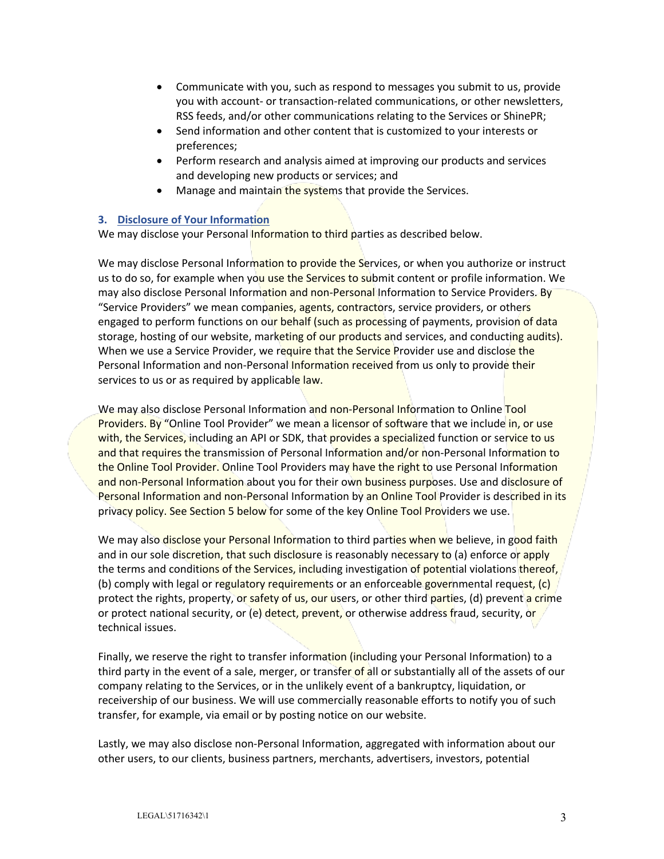- Communicate with you, such as respond to messages you submit to us, provide you with account- or transaction-related communications, or other newsletters, RSS feeds, and/or other communications relating to the Services or ShinePR;
- Send information and other content that is customized to your interests or preferences;
- Perform research and analysis aimed at improving our products and services and developing new products or services; and
- Manage and maintain the systems that provide the Services.

## **3. Disclosure of Your Information**

We may disclose your Personal Information to third parties as described below.

We may disclose Personal Information to provide the Services, or when you authorize or instruct us to do so, for example when you use the Services to submit content or profile information. We may also disclose Personal Information and non-Personal Information to Service Providers. By "Service Providers" we mean companies, agents, contractors, service providers, or others engaged to perform functions on our behalf (such as processing of payments, provision of data storage, hosting of our website, marketing of our products and services, and conducting audits). When we use a Service Provider, we require that the Service Provider use and disclose the Personal Information and non-Personal Information received from us only to provide their services to us or as required by applicable law.

We may also disclose Personal Information and non-Personal Information to Online Tool Providers. By "Online Tool Provider" we mean a licensor of software that we include in, or use with, the Services, including an API or SDK, that provides a specialized function or service to us and that requires the transmission of Personal Information and/or non-Personal Information to the Online Tool Provider. Online Tool Providers may have the right to use Personal Information and non-Personal Information about you for their own business purposes. Use and disclosure of Personal Information and non-Personal Information by an Online Tool Provider is described in its privacy policy. See Section 5 below for some of the key Online Tool Providers we use.

We may also disclose your Personal Information to third parties when we believe, in good faith and in our sole discretion, that such disclosure is reasonably necessary to (a) enforce or apply the terms and conditions of the Services, including investigation of potential violations thereof, (b) comply with legal or regulatory requirements or an enforceable governmental request, (c) protect the rights, property, or safety of us, our users, or other third parties, (d) prevent a crime or protect national security, or (e) detect, prevent, or otherwise address fraud, security, or technical issues.

Finally, we reserve the right to transfer information (including your Personal Information) to a third party in the event of a sale, merger, or transfer of all or substantially all of the assets of our company relating to the Services, or in the unlikely event of a bankruptcy, liquidation, or receivership of our business. We will use commercially reasonable efforts to notify you of such transfer, for example, via email or by posting notice on our website.

Lastly, we may also disclose non-Personal Information, aggregated with information about our other users, to our clients, business partners, merchants, advertisers, investors, potential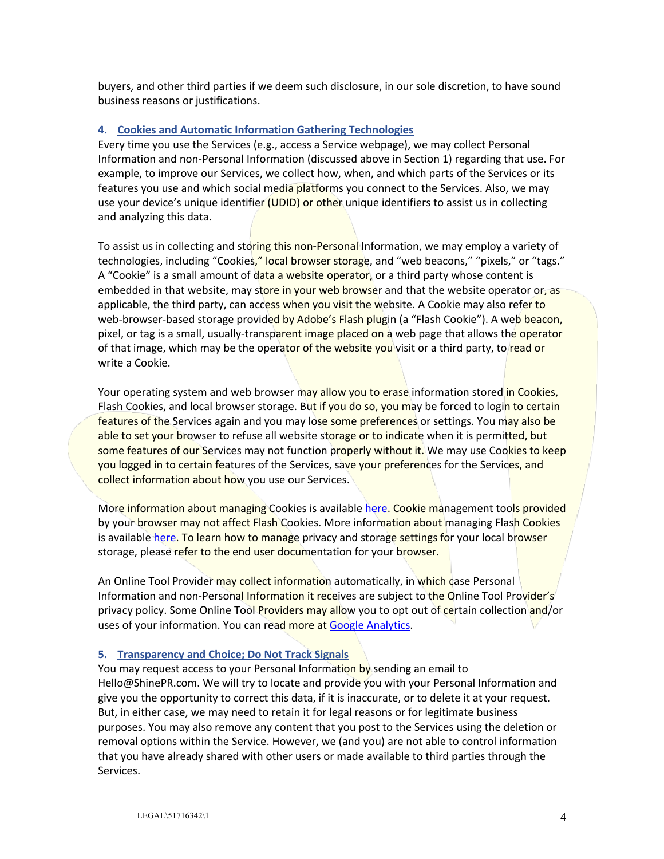buyers, and other third parties if we deem such disclosure, in our sole discretion, to have sound business reasons or justifications.

## **4. Cookies and Automatic Information Gathering Technologies**

Every time you use the Services (e.g., access a Service webpage), we may collect Personal Information and non-Personal Information (discussed above in Section 1) regarding that use. For example, to improve our Services, we collect how, when, and which parts of the Services or its features you use and which social media platforms you connect to the Services. Also, we may use your device's unique identifier (UDID) or other unique identifiers to assist us in collecting and analyzing this data.

To assist us in collecting and storing this non-Personal Information, we may employ a variety of technologies, including "Cookies," local browser storage, and "web beacons," "pixels," or "tags." A "Cookie" is a small amount of data a website operator, or a third party whose content is embedded in that website, may store in your web browser and that the website operator or, as applicable, the third party, can access when you visit the website. A Cookie may also refer to web-browser-based storage provided by Adobe's Flash plugin (a "Flash Cookie"). A web beacon, pixel, or tag is a small, usually-transparent image placed on a web page that allows the operator of that image, which may be the operator of the website you visit or a third party, to read or write a Cookie.

Your operating system and web browser may allow you to erase information stored in Cookies, Flash Cookies, and local browser storage. But if you do so, you may be forced to login to certain features of the Services again and you may lose some preferences or settings. You may also be able to set your browser to refuse all website storage or to indicate when it is permitted, but some features of our Services may not function properly without it. We may use Cookies to keep you logged in to certain features of the Services, save your preferences for the Services, and collect information about how you use our Services.

More information about managing Cookies is available here. Cookie management tools provided by your browser may not affect Flash Cookies. More information about managing Flash Cookies is available here. To learn how to manage privacy and storage settings for your local browser storage, please refer to the end user documentation for your browser.

An Online Tool Provider may collect information automatically, in which case Personal Information and non-Personal Information it receives are subject to the Online Tool Provider's privacy policy. Some Online Tool Providers may allow you to opt out of certain collection and/or uses of your information. You can read more at Google Analytics.

#### **5. Transparency and Choice; Do Not Track Signals**

You may request access to your Personal Information by sending an email to Hello@ShinePR.com. We will try to locate and provide you with your Personal Information and give you the opportunity to correct this data, if it is inaccurate, or to delete it at your request. But, in either case, we may need to retain it for legal reasons or for legitimate business purposes. You may also remove any content that you post to the Services using the deletion or removal options within the Service. However, we (and you) are not able to control information that you have already shared with other users or made available to third parties through the Services.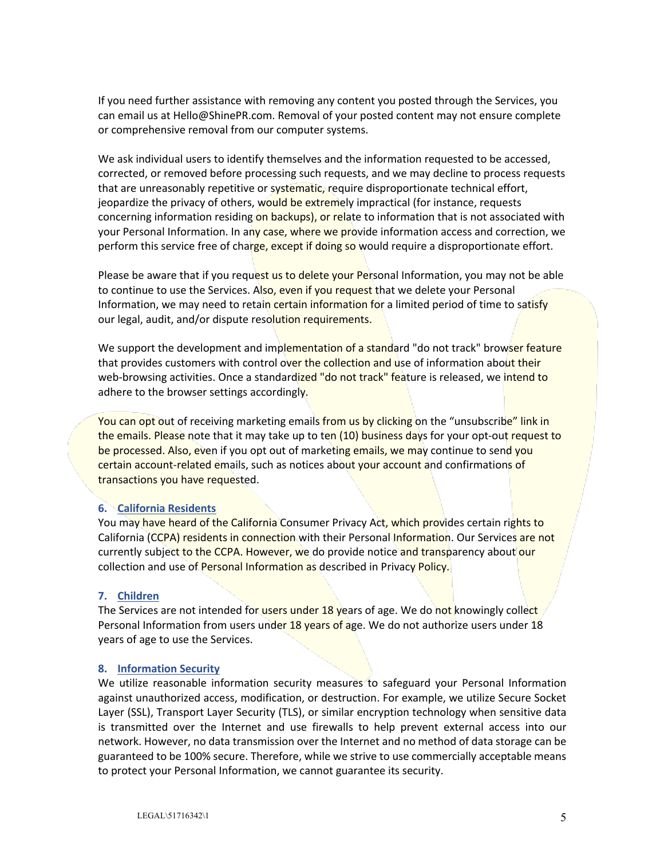If you need further assistance with removing any content you posted through the Services, you can email us at Hello@ShinePR.com. Removal of your posted content may not ensure complete or comprehensive removal from our computer systems.

We ask individual users to identify themselves and the information requested to be accessed, corrected, or removed before processing such requests, and we may decline to process requests that are unreasonably repetitive or systematic, require disproportionate technical effort, jeopardize the privacy of others, would be extremely impractical (for instance, requests concerning information residing on backups), or relate to information that is not associated with your Personal Information. In any case, where we provide information access and correction, we perform this service free of charge, except if doing so would require a disproportionate effort.

Please be aware that if you request us to delete your Personal Information, you may not be able to continue to use the Services. Also, even if you request that we delete your Personal Information, we may need to retain certain information for a limited period of time to satisfy our legal, audit, and/or dispute resolution requirements.

We support the development and implementation of a standard "do not track" browser feature that provides customers with control over the collection and use of information about their web-browsing activities. Once a standardized "do not track" feature is released, we intend to adhere to the browser settings accordingly.

You can opt out of receiving marketing emails from us by clicking on the "unsubscribe" link in the emails. Please note that it may take up to ten (10) business days for your opt-out request to be processed. Also, even if you opt out of marketing emails, we may continue to send you certain account-related emails, such as notices about your account and confirmations of transactions you have requested.

#### **6. California Residents**

You may have heard of the California Consumer Privacy Act, which provides certain rights to California (CCPA) residents in connection with their Personal Information. Our Services are not currently subject to the CCPA. However, we do provide notice and transparency about our collection and use of Personal Information as described in Privacy Policy.

## **7. Children**

The Services are not intended for users under 18 years of age. We do not knowingly collect Personal Information from users under 18 years of age. We do not authorize users under 18 years of age to use the Services.

#### **8. Information Security**

We utilize reasonable information security measures to safeguard your Personal Information against unauthorized access, modification, or destruction. For example, we utilize Secure Socket Layer (SSL), Transport Layer Security (TLS), or similar encryption technology when sensitive data is transmitted over the Internet and use firewalls to help prevent external access into our network. However, no data transmission over the Internet and no method of data storage can be guaranteed to be 100% secure. Therefore, while we strive to use commercially acceptable means to protect your Personal Information, we cannot guarantee its security.